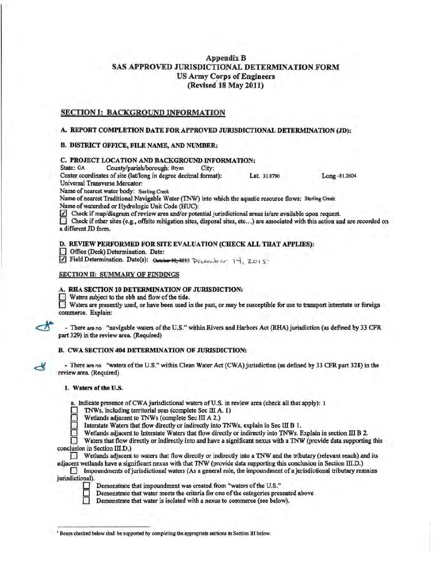# AppendixB SAS APPROVED JURISDICTIONAL DETERMINATION FORM US Army Corps of Engineers (Revised.18 May 2011)

# SECTION I: BACKGROUND INFORMATION

## A. REPORT COMPLETION DATE FOR APPROVED JURISDICTIONAL DETERMINATION (JD):

### B. DISTRICT OFFICE, FILE NAME, AND NUMBER:

# C. PROJECT WCATION AND BACKGROUND INFORMATION:

County/parish/borough: Bryan

Center coordinates ofsite {lat/long in degree decimal format): Lat. 31.8790 Long -81.2604 Universal Transverse Mercator:

Name of nearest water body: Sterling Creek

Name of nearest Traditional Navigable Water (TNW) into which the aquatic resource flows: Sterling Creek Name of watershed or Hydrologic Unit Code (HUC):

 $\triangledown$  Check if map/diagram of review area and/or potential jurisdictional areas is/are available upon request.

 $\Box$  Check if other sites (e.g., offsite mitigation sites, disposal sites, etc...) are associated with this action and are recorded on a different JD form.

D. REVIEW PERFORMED FOR SITE EVALUATION (CHECK ALL THAT APPLIES):

0 Office (Desk) Determination. Date:

Field Determination. Date(s): Gotober 30, 2015 December 14, 2015

## SECTION II: SUMMARY OF FINDINGS

### A. RHA SECTION 10 DETERMINATION OF JURISDICTION:

■ Waters subject to the ebb and flow of the tide.<br>■ Waters are presently used, or have been used in the past, or may be susceptible for use to transport interstate or foreign commerce. Explain:

- There are no "navigable waters of the U.S." within Rivers and Harbors Act (RHA) jurisdiction (as defined by 33 CFR part 329) in the review area. (Required)

### B. CWA SECTION 404 DETERMINATION OF JURISDICTION:

- There are no ''waters ofthe U.S." within Clean Water Act (CWA) jurisdiction (as defined by 33 CFR part 328) in the review area. (Required)

#### 1. Waters of the U.S.

≺

a. Indicate presence of CWA jurisdictional waters of U.S. in review area (check all that apply): 1

0 TNWs, including territorial seas (complete Sec Ill A. 1)

Wetlands adjacent to TNWs (complete Sec III A 2.)

E<br>E v Interstate Waters that flow directly or indirectly into TNWs, explain in Sec III B I.

Wetlands adjacent to Interstate Waters that flow directly or indirectly into TNWs. Explain in section III B 2.

Waters that flow directly or indirectly into and have a significant nexus with a TNW (provide data supporting this conclusion in Section III.D.)

Wetlands adjacent to waters that flow directly or indirectly into a TNW and the tributary (relevant reach) and its adjacent wetlands have a significant nexus with that TNW (provide data supporting this conclusion in Section III.D.)

 $\Box$  Impoundments of jurisdictional waters (As a general rule, the impoundment of a jurisdictional tributary remains jurisdictional).



Demonstrate that impoundment was created from "waters of the U.S."

Demonstrate that water meets the criteria for one of the categories presented above

Demonstrate that water is isolated with a nexus to commerce (see below).

<sup>1</sup> Boxes checked below shall be supported by completing the appropriate sections in Section III below.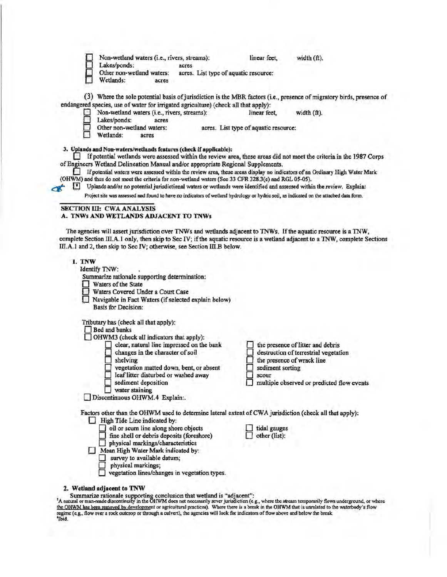| Non-wetland waters (i.e., rivers, streams):<br>Lakes/ponds:<br>acres                                                                                                                                                                                                                                                                                                                                                                                                                                                        | linear feet,<br>width (ft).                                                                                                                                                         |
|-----------------------------------------------------------------------------------------------------------------------------------------------------------------------------------------------------------------------------------------------------------------------------------------------------------------------------------------------------------------------------------------------------------------------------------------------------------------------------------------------------------------------------|-------------------------------------------------------------------------------------------------------------------------------------------------------------------------------------|
| Other non-wetland waters:<br>acres. List type of aquatic resource:<br>Wetlands:<br>acres                                                                                                                                                                                                                                                                                                                                                                                                                                    |                                                                                                                                                                                     |
| endangered species, use of water for irrigated agriculture) (check all that apply):                                                                                                                                                                                                                                                                                                                                                                                                                                         | (3) Where the sole potential basis of jurisdiction is the MBR factors (i.e., presence of migratory birds, presence of                                                               |
| Non-wetland waters (i.e., rivers, streams):<br>Lakes/ponds:<br>acres                                                                                                                                                                                                                                                                                                                                                                                                                                                        | width $(f1)$ .<br>linear feet.                                                                                                                                                      |
| Other non-wetland waters:<br>Wetlands:<br>acres                                                                                                                                                                                                                                                                                                                                                                                                                                                                             | acres. List type of aquatic resource:                                                                                                                                               |
| 3. Uplands and Non-waters/wetlands features (check if applicable):<br>of Engineers Wetland Delineation Manual and/or appropriate Regional Supplements.<br>If potential waters were assessed within the review area, these areas display no indicators of an Ordinary High Water Mark<br>(OHWM) and thus do not meet the criteria for non-wetland waters (See 33 CFR 328.3(e) and RGL 05-05).<br>Р<br>Uplands and/or no potential jurisdictional waters or wetlands were identified and assessed within the review. Explain: | If potential wetlands were assessed within the review area, these areas did not meet the criteria in the 1987 Corps                                                                 |
| $\sim$<br>Project site was assessed and found to have no indicators of wetland hydrology or hydric soil, as indicated on the attached data form.                                                                                                                                                                                                                                                                                                                                                                            |                                                                                                                                                                                     |
| <b>SECTION III: CWA ANALYSIS</b><br>A. TNWs AND WETLANDS ADJACENT TO TNWs                                                                                                                                                                                                                                                                                                                                                                                                                                                   |                                                                                                                                                                                     |
| The agencies will assert jurisdiction over TNWs and wetlands adjacent to TNWs. If the aquatic resource is a TNW,<br>complete Section III.A.1 only, then skip to Sec IV; if the aquatic resource is a wetland adjacent to a TNW, complete Sections<br>III.A.1 and 2, then skip to Sec IV; otherwise, see Section III.B below.                                                                                                                                                                                                |                                                                                                                                                                                     |
| Identify TNW:<br>Summarize rationale supporting determination:<br>Waters of the State<br>Waters Covered Under a Court Case<br>Navigable in Fact Waters (if selected explain below)<br>Basis for Decision:                                                                                                                                                                                                                                                                                                                   |                                                                                                                                                                                     |
| Tributary has (check all that apply):<br><b>Bed and banks</b>                                                                                                                                                                                                                                                                                                                                                                                                                                                               |                                                                                                                                                                                     |
| OHWM3 (check all indicators that apply):                                                                                                                                                                                                                                                                                                                                                                                                                                                                                    |                                                                                                                                                                                     |
| clear, natural line impressed on the bank<br>changes in the character of soil<br>shelving<br>vegetation matted down, bent, or absent<br>leaf litter disturbed or washed away<br>sediment deposition<br>water staining                                                                                                                                                                                                                                                                                                       | the presence of litter and debris<br>destruction of terrestrial vegetation<br>the presence of wrack line<br>sediment sorting<br>scour<br>multiple observed or predicted flow events |
| Discontinuous OHWM.4 Explain:.                                                                                                                                                                                                                                                                                                                                                                                                                                                                                              |                                                                                                                                                                                     |
| Factors other than the OHWM used to determine lateral extent of CWA jurisdiction (check all that apply):<br>High Tide Line indicated by:                                                                                                                                                                                                                                                                                                                                                                                    |                                                                                                                                                                                     |
| oil or scum line along shore objects<br>fine shell or debris deposits (foreshore)<br>physical markings/characteristics<br>Mean High Water Mark indicated by:<br>survey to available datum;<br>physical markings;                                                                                                                                                                                                                                                                                                            | tidal gauges<br>other (list):                                                                                                                                                       |
| vegetation lines/changes in vegetation types.                                                                                                                                                                                                                                                                                                                                                                                                                                                                               |                                                                                                                                                                                     |
| 2. Wetland adjacent to TNW                                                                                                                                                                                                                                                                                                                                                                                                                                                                                                  |                                                                                                                                                                                     |

2. Wetland adjacent to TNW<br>Summarize rationale supporting conclusion that wetland is "adjacent":<br>"A natural or man-made discontinuity in the OHWM does not necessarily sever jurisdiction" (e.g., where the stream temporaril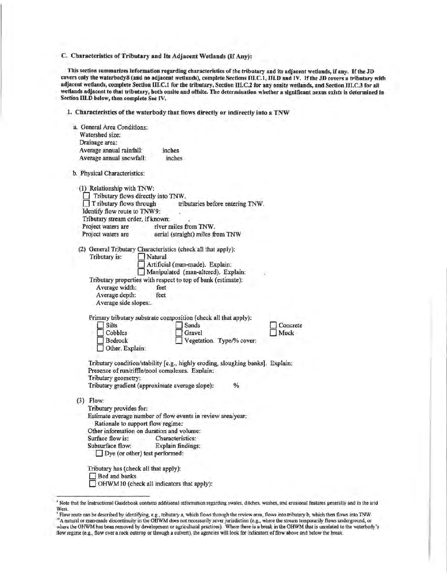C. Characteristics of Tributary and Its Adjacent Wetlands (If Any):

This section summarizes information regarding characteristics of the tributary and its adjacent wetlands, if any. Ifthe JD covers only the waterbody8 (and no adjacent wetlands), complete Sections 111.C.l, 111.D and IV. Ifthe JD covers a tributary with adjacent wetlands, complete Section III.C.1 for the tributary, Section III.C.2 for any onsite wetlands, and Section III.C.3 for all wetlands adjacent to that tributary, both onsite and offsite. The determination whether a significant nexus exists is determined in Section 111.D below, then complete Sec IV.

1. Characteristics of the waterbody that flows directly or indirectly into a TNW

| a. General Area Conditions:<br>Watershed size: |                                                          |                                                                                                  |      |          |
|------------------------------------------------|----------------------------------------------------------|--------------------------------------------------------------------------------------------------|------|----------|
| Drainage area:                                 |                                                          |                                                                                                  |      |          |
| Average annual rainfall:                       |                                                          | inches                                                                                           |      |          |
| Average annual snowfall:                       |                                                          | inches                                                                                           |      |          |
| b. Physical Characteristics:                   |                                                          |                                                                                                  |      |          |
| (1) Relationship with TNW:                     | Tributary flows directly into TNW.                       |                                                                                                  |      |          |
|                                                | T ributary flows through<br>Identify flow route to TNW9: | tributaries before entering TNW.                                                                 |      |          |
|                                                | Tributary stream order, if known:                        |                                                                                                  |      |          |
| Project waters are                             |                                                          | river miles from TNW.                                                                            |      |          |
| Project waters are                             |                                                          | aerial (straight) miles from TNW                                                                 |      |          |
| Tributary is:                                  | Natural                                                  | (2) General Tributary Characteristics (check all that apply):<br>Artificial (man-made). Explain: |      |          |
|                                                |                                                          | Manipulated (man-altered). Explain:                                                              |      |          |
| Average width:                                 | feet                                                     | Tributary properties with respect to top of bank (estimate):                                     |      |          |
| Average depth:                                 | feet                                                     |                                                                                                  |      |          |
|                                                | Average side slopes:.                                    |                                                                                                  |      |          |
|                                                |                                                          |                                                                                                  |      |          |
|                                                |                                                          | Primary tributary substrate composition (check all that apply):                                  |      |          |
| Silts                                          |                                                          | Sands                                                                                            |      | Concrete |
|                                                | Cobbles                                                  | Gravel                                                                                           |      | Muck     |
| Bedrock                                        | Other. Explain:                                          | Vegetation. Type/% cover:                                                                        |      |          |
|                                                |                                                          | Tributary condition/stability [e.g., highly eroding, sloughing banks]. Explain:                  |      |          |
|                                                |                                                          | Presence of run/riffle/pool complexes. Explain:                                                  |      |          |
| Tributary geometry;                            |                                                          |                                                                                                  |      |          |
|                                                |                                                          | Tributary gradient (approximate average slope):                                                  | $\%$ |          |
| $(3)$ Flow:                                    |                                                          |                                                                                                  |      |          |
|                                                | Tributary provides for:                                  |                                                                                                  |      |          |
|                                                | Rationale to support flow regime:                        | Estimate average number of flow events in review area/year:                                      |      |          |
|                                                | Other information on duration and volume:                |                                                                                                  |      |          |
| Surface flow is:                               |                                                          | Characteristics:                                                                                 |      |          |
| Subsurface flow:                               |                                                          | Explain findings:                                                                                |      |          |
|                                                | $\Box$ Dye (or other) test performed:                    |                                                                                                  |      |          |
|                                                | Tributary has (check all that apply):                    |                                                                                                  |      |          |
| Bed and banks                                  |                                                          |                                                                                                  |      |          |
|                                                | OHWM10 (check all indicators that apply):                |                                                                                                  |      |          |
|                                                |                                                          |                                                                                                  |      |          |

<sup>•</sup> Note that the Instructional Guidebook contains additional information regarding swales, ditches, washes, and erosional features generally and in the arid

West.<br><sup>9</sup> Flow route can be described by identifying, e.g., tributary a, which flows through the review area, flows into tributary b, which then flows into TNW.<br><sup>30</sup> A natural or man-made discontinuity in the OHWM does not flow regime (e.g., flow over a rock outcrop or through a culvert), the agencies will look for indicators of flow above and below the break.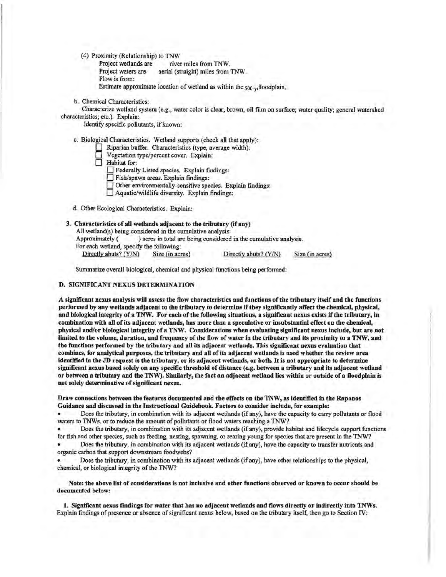(4) Proximity (Relationship) to TNW

Project wetlands are river miles from TNW. Project waters are aerial (straight) miles from TNW. Flow is from: Estimate approximate location of wetland as within the <sub>500-yt</sub>floodplain.

b. Chemical Characteristics:

Characterize wetland system (e.g., water color is clear, brown, oil film on surface; water quality; general watershed characteristics; etc.). Explain:

Identify specific pollutants, if known:

c. Biological Characteristics. Wetland supports (check all that apply):

D Riparian buffer. Characteristics (type, average width):

D Vegetation type/percent cover. Explain:

D Habitat for: D Federally Listed species. Explain findings: D Fish/spawn areas. Explain findings:

Other environmentally-sensitive species. Explain findings:

D Aquatic/wildlife diversity. Explain findings:

d. Other Ecological Characteristics. Explain:

## 3. Characteristics of all wetlands adjacent to the tributary (if any)

All wetland(s) being considered in the cumulative analysis:

Approximately ( ) acres in total are being considered in the cumulative analysis.

For each wetland, specify the following:

Directly abuts? (Y/N) Size (in acres) Directly abuts? (Y/N) Size (in acres)

I

Summarize overall biological, chemical and physical functions being performed:

#### D. SIGNIFICANT NEXUS DETERMINATION

A significant nexus analysis will assess the flow characteristics and functions ofthe tributary itself and the functions performed by any wetlands adjacent to the tributary to determine if they significantly affect the chemical, physical, and biological integrity of a TNW. For each of the following situations, a significant nexus exists if the tributary, in combination with all of its adjacent wetlands, has more than a speculative or insubstantial effect on the chemical, physical and/or biological integrity of a TNW. Considerations when evaluating significant nexus include, but are not limited to the volume, duration, and frequency of the flow of water in the tributary and its proximity to a TNW, and the functions performed by the tributary and all its adjacent wetlands. This significant nexus evaluation that combines, for analytical purposes, the tributary and all of its adjacent wetlands is used whether the review area identified in the JD request is the tributary, or its adjacent wetlands, or both. It is not appropriate to determine significant nexus based solely on any specific threshold of distance (e.g. between a tributary and its adjacent wetland or between a tributary and the TNW). Similarly, the fact an adjacent wetland lies within or outside of a floodplain is not solely determinative of significant nexus.

#### Draw connections between the features documented and the effects on the TNW, as identified in the Rapanos Guidance and discussed in the Instructional Guidebook. Factors to consider include, for example:

• Does the tributary, in combination with its adjacent wetlands (if any), have the capacity to carry pollutants or flood waters to TNWs, or to reduce the amount of pollutants or flood waters reaching a TNW?

• Does the tributary, in combination with its adjacent wetlands (if any), provide habitat and lifecycle support functions for fish and other species, such as feeding, nesting, spawning, or rearing young for species that are present in the TNW?

• Does the tributary, in combination with its adjacent wetlands (if any), have the capacity to transfer nutrients and organic carbon that support downstream foodwebs?

• Does the tributary, in combination with its adjacent wetlands (if any), have other relationships to the physical, chemical, or biological integrity of the TNW?

Note: the above list of considerations is not inclusive and other functions observed or known to occur should be documented below:

I. Significant nexus findings for water that has no adjacent wetlands and flows directly or indirectly into TNWs. Explain findings of presence or absence of significant nexus below, based on the tributary itself, then go to Section IV: